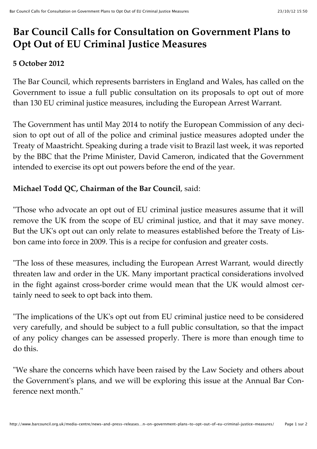# **Bar Council Calls for Consultation on Government Plans to Opt Out of EU Criminal Justice Measures**

### **5 October 2012**

The Bar Council, which represents barristers in England and Wales, has called on the Government to issue a full public consultation on its proposals to opt out of more than 130 EU criminal justice measures, including the European Arrest Warrant.

The Government has until May 2014 to notify the European Commission of any decision to opt out of all of the police and criminal justice measures adopted under the Treaty of Maastricht. Speaking during a trade visit to Brazil last week, it was reported by the BBC that the Prime Minister, David Cameron, indicated that the Government intended to exercise its opt out powers before the end of the year.

## **Michael Todd QC, Chairman of the Bar Council**, said:

"Those who advocate an opt out of EU criminal justice measures assume that it will remove the UK from the scope of EU criminal justice, and that it may save money. But the UK's opt out can only relate to measures established before the Treaty of Lisbon came into force in 2009. This is a recipe for confusion and greater costs.

"The loss of these measures, including the European Arrest Warrant, would directly threaten law and order in the UK. Many important practical considerations involved in the fight against cross-border crime would mean that the UK would almost certainly need to seek to opt back into them.

"The implications of the UK's opt out from EU criminal justice need to be considered very carefully, and should be subject to a full public consultation, so that the impact of any policy changes can be assessed properly. There is more than enough time to do this.

"We share the concerns which have been raised by the Law Society and others about the Government's plans, and we will be exploring this issue at the Annual Bar Conference next month."